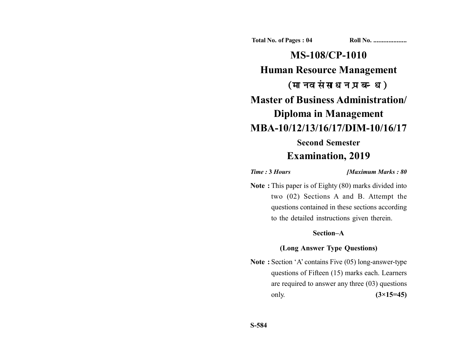**Total No. of Pages : 04 Roll No. ...................** 

**MS-108/CP-1010 Human Resource Management** (मानव संसाधन प्रबन्ध) **Master of Business Administration/ Diploma in Management MBA-10/12/13/16/17/DIM-10/16/17 Second Semester**

# **Examination, 2019**

*Time :* **3** *Hours [Maximum Marks : 80*

**Note :** This paper is of Eighty (80) marks divided into two (02) Sections A and B. Attempt the questions contained in these sections according to the detailed instructions given therein.

## **Section–A**

### **(Long Answer Type Questions)**

**Note :** Section 'A' contains Five (05) long-answer-type questions of Fifteen (15) marks each. Learners are required to answer any three (03) questions only. **(3×15=45)**